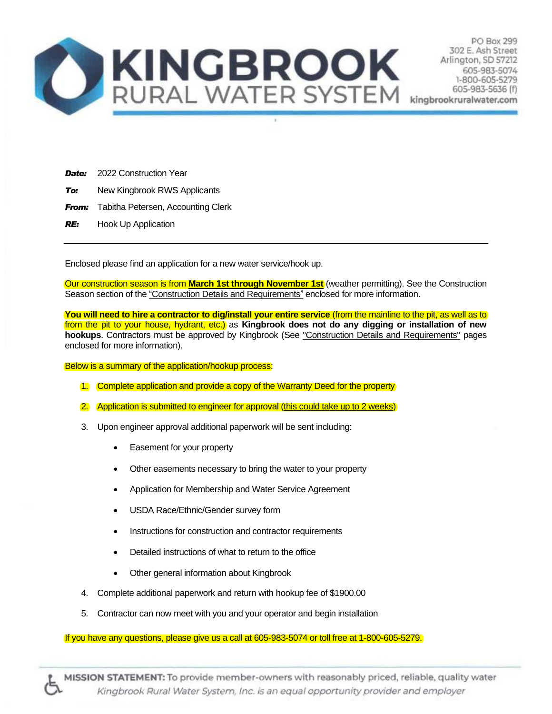

*Date:* 2022 Construction Year

- **To:** New Kingbrook RWS Applicants
- *From:* Tabitha Petersen, Accounting Clerk
- *RE:* Hook Up Application

Enclosed please find an application for a new water service/hook up.

Our construction season is from **March 1st through November 1st** (weather permitting). See the Construction Season section of the "Construction Details and Requirements" enclosed for more information.

**You will need to hire a contractor to dig/install your entire service** (from the mainline to the pit, as well as to from the pit to your house, hydrant, etc.) as **Kingbrook does not do any digging or installation of new hookups**. Contractors must be approved by Kingbrook (See "Construction Details and Requirements" pages enclosed for more information).

Below is a summary of the application/hookup process:

- 1. Complete application and provide a copy of the Warranty Deed for the property
- 2. Application is submitted to engineer for approval (this could take up to 2 weeks)
- 3. Upon engineer approval additional paperwork will be sent including:
	- Easement for your property
	- Other easements necessary to bring the water to your property
	- Application for Membership and Water Service Agreement
	- USDA Race/Ethnic/Gender survey form
	- Instructions for construction and contractor requirements
	- Detailed instructions of what to return to the office
	- Other general information about Kingbrook
- 4. Complete additional paperwork and return with hookup fee of \$1900.00
- 5. Contractor can now meet with you and your operator and begin installation

If you have any questions, please give us a call at 605-983-5074 or toll free at 1-800-605-5279.

MISSION STATEMENT: To provide member-owners with reasonably priced, reliable, quality water Kingbrook Rural Water System, Inc. is an equal opportunity provider and employer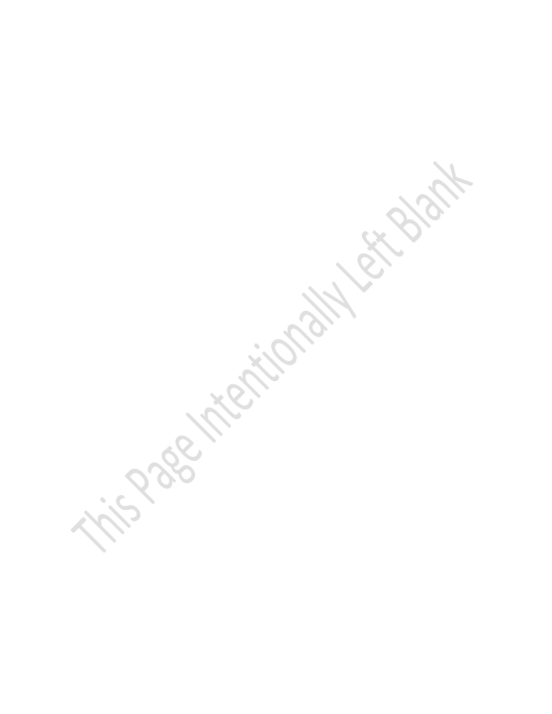This age then in the control of the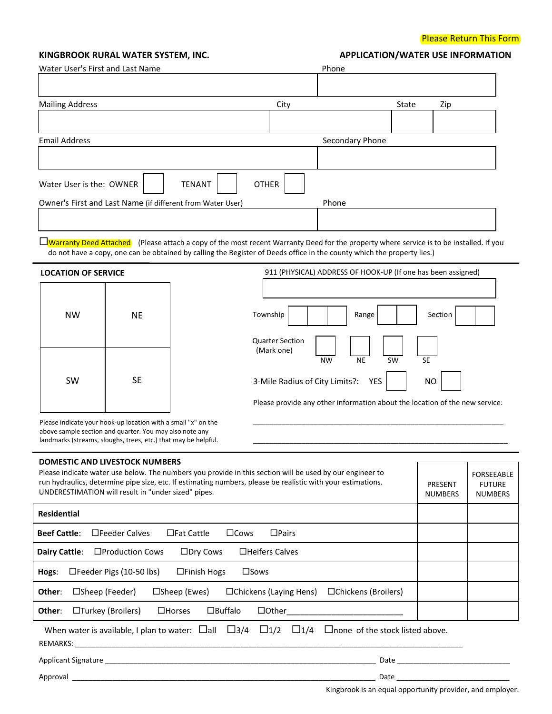## KINGBROOK RURAL WATER SYSTEM, INC. **APPLICATION/WATER USE INFORMATION**

| Water User's First and Last Name                           |      | Phone           |       |     |
|------------------------------------------------------------|------|-----------------|-------|-----|
|                                                            |      |                 |       |     |
| <b>Mailing Address</b>                                     | City |                 | State | Zip |
|                                                            |      |                 |       |     |
| <b>Email Address</b>                                       |      | Secondary Phone |       |     |
|                                                            |      |                 |       |     |
| Water User is the: OWNER<br><b>TENANT</b><br><b>OTHER</b>  |      |                 |       |     |
| Owner's First and Last Name (if different from Water User) |      | Phone           |       |     |
|                                                            |      |                 |       |     |

UWarranty Deed Attached (Please attach a copy of the most recent Warranty Deed for the property where service is to be installed. If you do not have a copy, one can be obtained by calling the Register of Deeds office in the county which the property lies.)

### **LOCATION OF SERVICE**

| <b>NW</b> | <b>NE</b> |  |
|-----------|-----------|--|
| SW        | <b>SE</b> |  |

| 911 (PHYSICAL) ADDRESS OF HOOK-UP (If one has been assigned)                      |  |  |  |  |
|-----------------------------------------------------------------------------------|--|--|--|--|
|                                                                                   |  |  |  |  |
| Section<br>Township<br>Range                                                      |  |  |  |  |
| <b>Quarter Section</b><br>(Mark one)<br><b>SE</b><br><b>NE</b><br>SW<br><b>NW</b> |  |  |  |  |
| 3-Mile Radius of City Limits?:<br><b>YES</b><br><b>NO</b>                         |  |  |  |  |
| Please provide any other information about the location of the new service:       |  |  |  |  |

\_\_\_\_\_\_\_\_\_\_\_\_\_\_\_\_\_\_\_\_\_\_\_\_\_\_\_\_\_\_\_\_\_\_\_\_\_\_\_\_\_\_\_\_\_\_\_\_\_\_\_\_\_\_\_\_\_\_\_\_\_\_

\_\_\_\_\_\_\_\_\_\_\_\_\_\_\_\_\_\_\_\_\_\_\_\_\_\_\_\_\_\_\_\_\_\_\_\_\_\_\_\_\_\_\_\_\_\_\_\_\_\_\_\_\_\_\_\_\_\_\_\_\_\_\_

 $\mathcal{L}_\text{max}$  and  $\mathcal{L}_\text{max}$  and  $\mathcal{L}_\text{max}$  and  $\mathcal{L}_\text{max}$ 

Please indicate your hook-up location with a small "x" on the above sample section and quarter. You may also note any landmarks (streams, sloughs, trees, etc.) that may be helpful.

| <b>DOMESTIC AND LIVESTOCK NUMBERS</b><br>Please indicate water use below. The numbers you provide in this section will be used by our engineer to<br>run hydraulics, determine pipe size, etc. If estimating numbers, please be realistic with your estimations.<br>UNDERESTIMATION will result in "under sized" pipes.                                        |  | FORSEEABLE<br><b>FUTURE</b><br><b>NUMBERS</b> |
|----------------------------------------------------------------------------------------------------------------------------------------------------------------------------------------------------------------------------------------------------------------------------------------------------------------------------------------------------------------|--|-----------------------------------------------|
| <b>Residential</b>                                                                                                                                                                                                                                                                                                                                             |  |                                               |
| <b>Beef Cattle:</b><br>$\Box$ Feeder Calves<br>$\Box$ Fat Cattle<br>$\square$ Cows<br>$\Box$ Pairs                                                                                                                                                                                                                                                             |  |                                               |
| Dairy Cattle:<br>□Production Cows<br>$\square$ Dry Cows<br>□Heifers Calves                                                                                                                                                                                                                                                                                     |  |                                               |
| $\Box$ Feeder Pigs (10-50 lbs)<br>$\Box$ Finish Hogs<br>$\square$ Sows<br>Hogs:                                                                                                                                                                                                                                                                                |  |                                               |
| $\square$ Sheep (Ewes)<br>$\Box$ Chickens (Laying Hens)<br>$\Box$ Chickens (Broilers)<br>Other:<br>$\square$ Sheep (Feeder)                                                                                                                                                                                                                                    |  |                                               |
| D0ther_____________________________<br>$\Box$ Turkey (Broilers)<br>$\Box$ Horses<br>$\square$ Buffalo<br>Other:                                                                                                                                                                                                                                                |  |                                               |
| When water is available, I plan to water: $\Box$ all $\Box$ 3/4 $\Box$ 1/2 $\Box$ 1/4 $\Box$ none of the stock listed above.<br>REMARKS: the contract of the contract of the contract of the contract of the contract of the contract of the contract of the contract of the contract of the contract of the contract of the contract of the contract of the c |  |                                               |
|                                                                                                                                                                                                                                                                                                                                                                |  |                                               |
| Approval<br>Date                                                                                                                                                                                                                                                                                                                                               |  |                                               |

Kingbrook is an equal opportunity provider, and employer.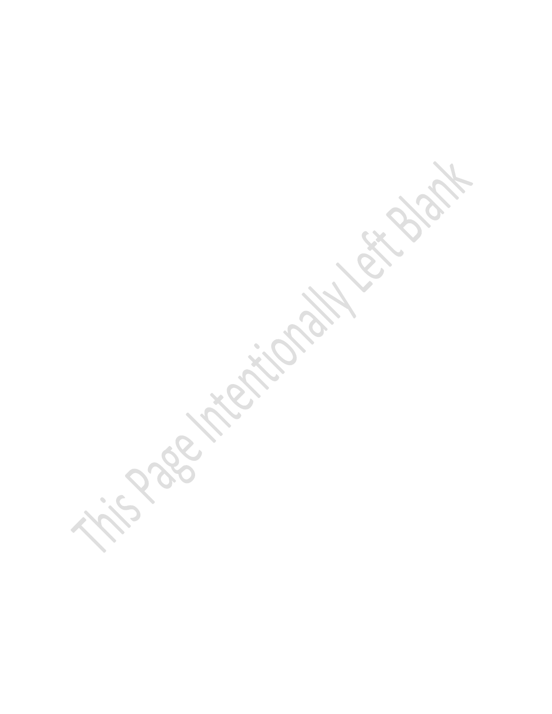This age then in the control of the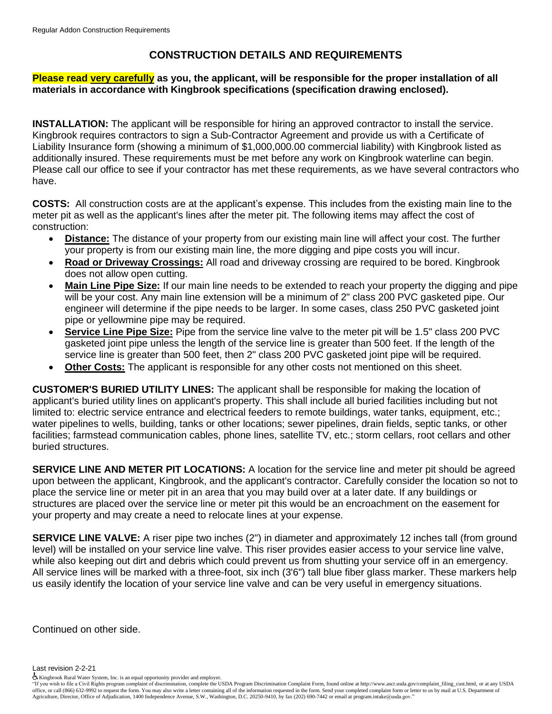# **CONSTRUCTION DETAILS AND REQUIREMENTS**

## **Please read very carefully as you, the applicant, will be responsible for the proper installation of all materials in accordance with Kingbrook specifications (specification drawing enclosed).**

**INSTALLATION:** The applicant will be responsible for hiring an approved contractor to install the service. Kingbrook requires contractors to sign a Sub-Contractor Agreement and provide us with a Certificate of Liability Insurance form (showing a minimum of \$1,000,000.00 commercial liability) with Kingbrook listed as additionally insured. These requirements must be met before any work on Kingbrook waterline can begin. Please call our office to see if your contractor has met these requirements, as we have several contractors who have.

**COSTS:** All construction costs are at the applicant's expense. This includes from the existing main line to the meter pit as well as the applicant's lines after the meter pit. The following items may affect the cost of construction:

- **Distance:** The distance of your property from our existing main line will affect your cost. The further your property is from our existing main line, the more digging and pipe costs you will incur.
- **Road or Driveway Crossings:** All road and driveway crossing are required to be bored. Kingbrook does not allow open cutting.
- **Main Line Pipe Size:** If our main line needs to be extended to reach your property the digging and pipe will be your cost. Any main line extension will be a minimum of 2" class 200 PVC gasketed pipe. Our engineer will determine if the pipe needs to be larger. In some cases, class 250 PVC gasketed joint pipe or yellowmine pipe may be required.
- **Service Line Pipe Size:** Pipe from the service line valve to the meter pit will be 1.5" class 200 PVC gasketed joint pipe unless the length of the service line is greater than 500 feet. If the length of the service line is greater than 500 feet, then 2" class 200 PVC gasketed joint pipe will be required.
- **Other Costs:** The applicant is responsible for any other costs not mentioned on this sheet.

**CUSTOMER'S BURIED UTILITY LINES:** The applicant shall be responsible for making the location of applicant's buried utility lines on applicant's property. This shall include all buried facilities including but not limited to: electric service entrance and electrical feeders to remote buildings, water tanks, equipment, etc.; water pipelines to wells, building, tanks or other locations; sewer pipelines, drain fields, septic tanks, or other facilities; farmstead communication cables, phone lines, satellite TV, etc.; storm cellars, root cellars and other buried structures.

**SERVICE LINE AND METER PIT LOCATIONS:** A location for the service line and meter pit should be agreed upon between the applicant, Kingbrook, and the applicant's contractor. Carefully consider the location so not to place the service line or meter pit in an area that you may build over at a later date. If any buildings or structures are placed over the service line or meter pit this would be an encroachment on the easement for your property and may create a need to relocate lines at your expense.

**SERVICE LINE VALVE:** A riser pipe two inches (2") in diameter and approximately 12 inches tall (from ground level) will be installed on your service line valve. This riser provides easier access to your service line valve, while also keeping out dirt and debris which could prevent us from shutting your service off in an emergency. All service lines will be marked with a three-foot, six inch (3'6") tall blue fiber glass marker. These markers help us easily identify the location of your service line valve and can be very useful in emergency situations.

Continued on other side.

Last revision 2-2-21

Kingbrook Rural Water System, Inc. is an equal opportunity provider and employer.

<sup>&</sup>quot;If you wish to file a Civil Rights program complaint of discrimination, complete the USDA Program Discrimination Complaint Form, found online at http://www.ascr.usda.gov/complaint\_filing\_cust.html, or at any USDA office, or call (866) 632-9992 to request the form. You may also write a letter containing all of the information requested in the form. Send your completed complaint form or letter to us by mail at U.S. Department of Agriculture, Director, Office of Adjudication, 1400 Independence Avenue, S.W., Washington, D.C. 20250-9410, by fax (202) 690-7442 or email at program.intake@usda.gov."